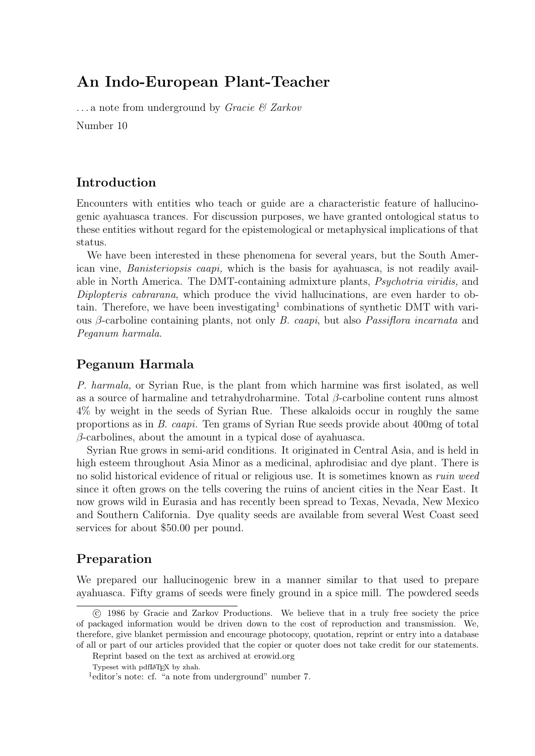# An Indo-European Plant-Teacher

 $\ldots$  a note from underground by *Gracie & Zarkov* Number 10

#### Introduction

Encounters with entities who teach or guide are a characteristic feature of hallucinogenic ayahuasca trances. For discussion purposes, we have granted ontological status to these entities without regard for the epistemological or metaphysical implications of that status.

We have been interested in these phenomena for several years, but the South American vine, Banisteriopsis caapi, which is the basis for ayahuasca, is not readily available in North America. The DMT-containing admixture plants, Psychotria viridis, and Diplopteris cabrarana, which produce the vivid hallucinations, are even harder to obtain. Therefore, we have been investigating<sup>1</sup> combinations of synthetic DMT with various β-carboline containing plants, not only B. caapi, but also Passiflora incarnata and Peganum harmala.

#### Peganum Harmala

P. harmala, or Syrian Rue, is the plant from which harmine was first isolated, as well as a source of harmaline and tetrahydroharmine. Total  $\beta$ -carboline content runs almost 4% by weight in the seeds of Syrian Rue. These alkaloids occur in roughly the same proportions as in B. caapi. Ten grams of Syrian Rue seeds provide about 400mg of total  $\beta$ -carbolines, about the amount in a typical dose of ayahuasca.

Syrian Rue grows in semi-arid conditions. It originated in Central Asia, and is held in high esteem throughout Asia Minor as a medicinal, aphrodisiac and dye plant. There is no solid historical evidence of ritual or religious use. It is sometimes known as ruin weed since it often grows on the tells covering the ruins of ancient cities in the Near East. It now grows wild in Eurasia and has recently been spread to Texas, Nevada, New Mexico and Southern California. Dye quality seeds are available from several West Coast seed services for about \$50.00 per pound.

#### Preparation

We prepared our hallucinogenic brew in a manner similar to that used to prepare ayahuasca. Fifty grams of seeds were finely ground in a spice mill. The powdered seeds

c 1986 by Gracie and Zarkov Productions. We believe that in a truly free society the price of packaged information would be driven down to the cost of reproduction and transmission. We, therefore, give blanket permission and encourage photocopy, quotation, reprint or entry into a database of all or part of our articles provided that the copier or quoter does not take credit for our statements.

Reprint based on the text as archived at erowid.org

Typeset with pdfLAT<sub>E</sub>X by zhah.

<sup>&</sup>lt;sup>1</sup>editor's note: cf. "a note from underground" number 7.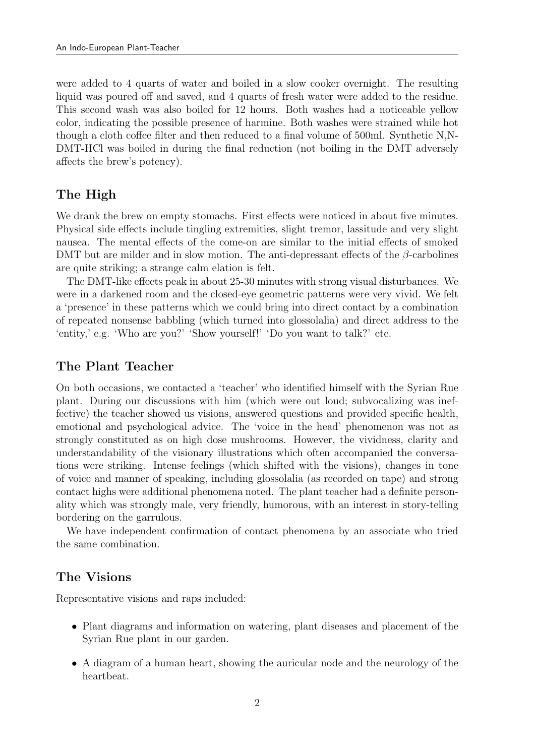were added to 4 quarts of water and boiled in a slow cooker overnight. The resulting liquid was poured off and saved, and 4 quarts of fresh water were added to the residue. This second wash was also boiled for 12 hours. Both washes had a noticeable yellow color, indicating the possible presence of harmine. Both washes were strained while hot though a cloth coffee filter and then reduced to a final volume of 500ml. Synthetic N,N-DMT-HCl was boiled in during the final reduction (not boiling in the DMT adversely affects the brew's potency).

### The High

We drank the brew on empty stomachs. First effects were noticed in about five minutes. Physical side effects include tingling extremities, slight tremor, lassitude and very slight nausea. The mental effects of the come-on are similar to the initial effects of smoked DMT but are milder and in slow motion. The anti-depressant effects of the  $\beta$ -carbolines are quite striking; a strange calm elation is felt.

The DMT-like effects peak in about 25-30 minutes with strong visual disturbances. We were in a darkened room and the closed-eye geometric patterns were very vivid. We felt a 'presence' in these patterns which we could bring into direct contact by a combination of repeated nonsense babbling (which turned into glossolalia) and direct address to the 'entity,' e.g. 'Who are you?' 'Show yourself!' 'Do you want to talk?' etc.

#### The Plant Teacher

On both occasions, we contacted a 'teacher' who identified himself with the Syrian Rue plant. During our discussions with him (which were out loud; subvocalizing was ineffective) the teacher showed us visions, answered questions and provided specific health, emotional and psychological advice. The 'voice in the head' phenomenon was not as strongly constituted as on high dose mushrooms. However, the vividness, clarity and understandability of the visionary illustrations which often accompanied the conversations were striking. Intense feelings (which shifted with the visions), changes in tone of voice and manner of speaking, including glossolalia (as recorded on tape) and strong contact highs were additional phenomena noted. The plant teacher had a definite personality which was strongly male, very friendly, humorous, with an interest in story-telling bordering on the garrulous.

We have independent confirmation of contact phenomena by an associate who tried the same combination.

#### The Visions

Representative visions and raps included:

- Plant diagrams and information on watering, plant diseases and placement of the Syrian Rue plant in our garden.
- A diagram of a human heart, showing the auricular node and the neurology of the heartbeat.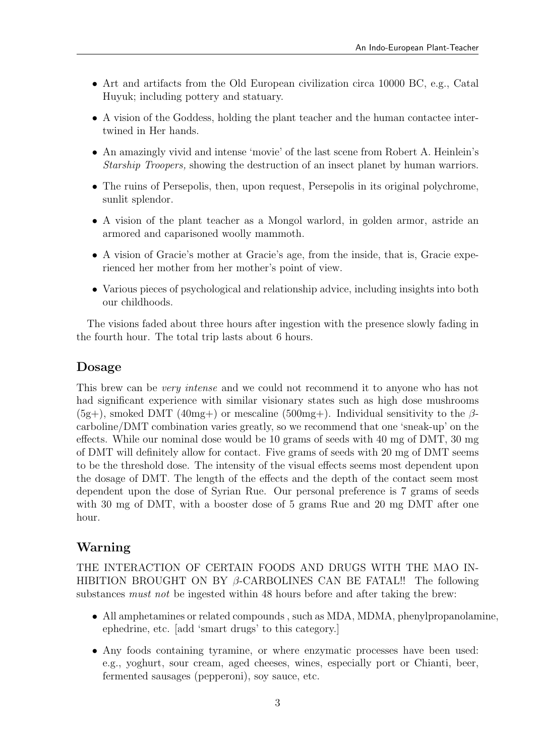- Art and artifacts from the Old European civilization circa 10000 BC, e.g., Catal Huyuk; including pottery and statuary.
- A vision of the Goddess, holding the plant teacher and the human contactee intertwined in Her hands.
- An amazingly vivid and intense 'movie' of the last scene from Robert A. Heinlein's Starship Troopers, showing the destruction of an insect planet by human warriors.
- The ruins of Persepolis, then, upon request, Persepolis in its original polychrome, sunlit splendor.
- A vision of the plant teacher as a Mongol warlord, in golden armor, astride an armored and caparisoned woolly mammoth.
- A vision of Gracie's mother at Gracie's age, from the inside, that is, Gracie experienced her mother from her mother's point of view.
- Various pieces of psychological and relationship advice, including insights into both our childhoods.

The visions faded about three hours after ingestion with the presence slowly fading in the fourth hour. The total trip lasts about 6 hours.

#### Dosage

This brew can be *very intense* and we could not recommend it to anyone who has not had significant experience with similar visionary states such as high dose mushrooms  $(5g+)$ , smoked DMT  $(40mg+)$  or mescaline  $(500mg+)$ . Individual sensitivity to the  $\beta$ carboline/DMT combination varies greatly, so we recommend that one 'sneak-up' on the effects. While our nominal dose would be 10 grams of seeds with 40 mg of DMT, 30 mg of DMT will definitely allow for contact. Five grams of seeds with 20 mg of DMT seems to be the threshold dose. The intensity of the visual effects seems most dependent upon the dosage of DMT. The length of the effects and the depth of the contact seem most dependent upon the dose of Syrian Rue. Our personal preference is 7 grams of seeds with 30 mg of DMT, with a booster dose of 5 grams Rue and 20 mg DMT after one hour.

#### Warning

THE INTERACTION OF CERTAIN FOODS AND DRUGS WITH THE MAO IN-HIBITION BROUGHT ON BY  $\beta$ -CARBOLINES CAN BE FATAL!! The following substances *must not* be ingested within 48 hours before and after taking the brew:

- All amphetamines or related compounds , such as MDA, MDMA, phenylpropanolamine, ephedrine, etc. [add 'smart drugs' to this category.]
- Any foods containing tyramine, or where enzymatic processes have been used: e.g., yoghurt, sour cream, aged cheeses, wines, especially port or Chianti, beer, fermented sausages (pepperoni), soy sauce, etc.